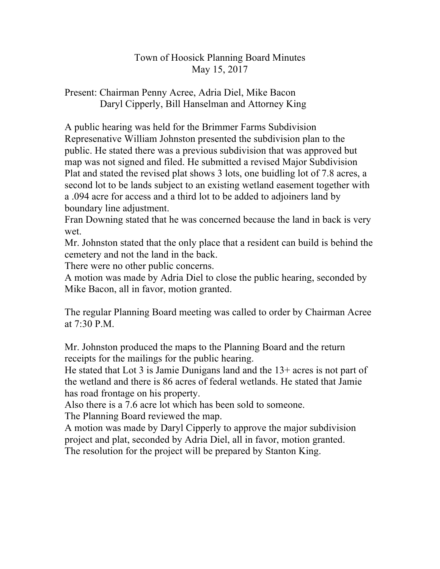## Town of Hoosick Planning Board Minutes May 15, 2017

## Present: Chairman Penny Acree, Adria Diel, Mike Bacon Daryl Cipperly, Bill Hanselman and Attorney King

A public hearing was held for the Brimmer Farms Subdivision Represenative William Johnston presented the subdivision plan to the public. He stated there was a previous subdivision that was approved but map was not signed and filed. He submitted a revised Major Subdivision Plat and stated the revised plat shows 3 lots, one buidling lot of 7.8 acres, a second lot to be lands subject to an existing wetland easement together with a .094 acre for access and a third lot to be added to adjoiners land by boundary line adjustment.

Fran Downing stated that he was concerned because the land in back is very wet.

Mr. Johnston stated that the only place that a resident can build is behind the cemetery and not the land in the back.

There were no other public concerns.

A motion was made by Adria Diel to close the public hearing, seconded by Mike Bacon, all in favor, motion granted.

The regular Planning Board meeting was called to order by Chairman Acree at 7:30 P.M.

Mr. Johnston produced the maps to the Planning Board and the return receipts for the mailings for the public hearing.

He stated that Lot 3 is Jamie Dunigans land and the 13+ acres is not part of the wetland and there is 86 acres of federal wetlands. He stated that Jamie has road frontage on his property.

Also there is a 7.6 acre lot which has been sold to someone.

The Planning Board reviewed the map.

A motion was made by Daryl Cipperly to approve the major subdivision project and plat, seconded by Adria Diel, all in favor, motion granted. The resolution for the project will be prepared by Stanton King.